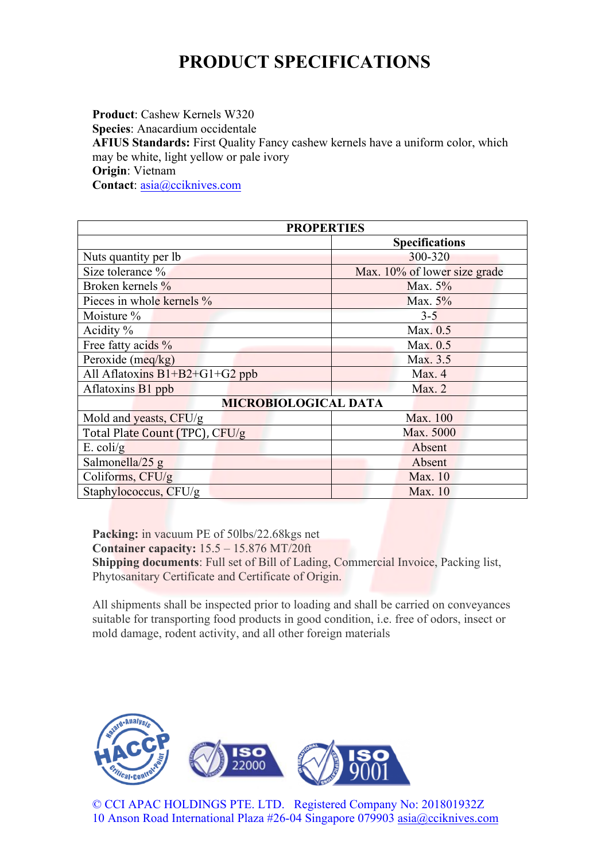## **PRODUCT SPECIFICATIONS**

**Product**: Cashew Kernels W320 **Species**: Anacardium occidentale **AFIUS Standards:** First Quality Fancy cashew kernels have a uniform color, which may be white, light yellow or pale ivory **Origin**: Vietnam **Contact**: asia@cciknives.com

| <b>PROPERTIES</b>                |                              |
|----------------------------------|------------------------------|
|                                  | <b>Specifications</b>        |
| Nuts quantity per lb.            | 300-320                      |
| Size tolerance %                 | Max. 10% of lower size grade |
| Broken kernels %                 | Max. $5\%$                   |
| Pieces in whole kernels %        | Max. 5%                      |
| Moisture %                       | $3 - 5$                      |
| Acidity $\%$                     | Max. 0.5                     |
| Free fatty acids %               | Max. 0.5                     |
| Peroxide (meq/kg)                | Max. 3.5                     |
| All Aflatoxins $B1+B2+G1+G2$ ppb | Max. 4                       |
| Aflatoxins B1 ppb                | Max. 2                       |
| <b>MICROBIOLOGICAL DATA</b>      |                              |
| Mold and yeasts, CFU/g           | Max. 100                     |
| Total Plate Count (TPC), CFU/g   | Max. 5000                    |
| $E.$ coli/g                      | Absent                       |
| Salmonella/25 $g$                | Absent                       |
| Coliforms, CFU/g                 | Max. 10                      |
| Staphylococcus, CFU/g            | Max. 10                      |

**Packing:** in vacuum PE of 50lbs/22.68kgs net **Container capacity:** 15.5 – 15.876 MT/20ft **Shipping documents**: Full set of Bill of Lading, Commercial Invoice, Packing list, Phytosanitary Certificate and Certificate of Origin.

All shipments shall be inspected prior to loading and shall be carried on conveyances suitable for transporting food products in good condition, i.e. free of odors, insect or mold damage, rodent activity, and all other foreign materials



© CCI APAC HOLDINGS PTE. LTD. Registered Company No: 201801932Z 10 Anson Road International Plaza #26-04 Singapore 079903 asia@cciknives.com